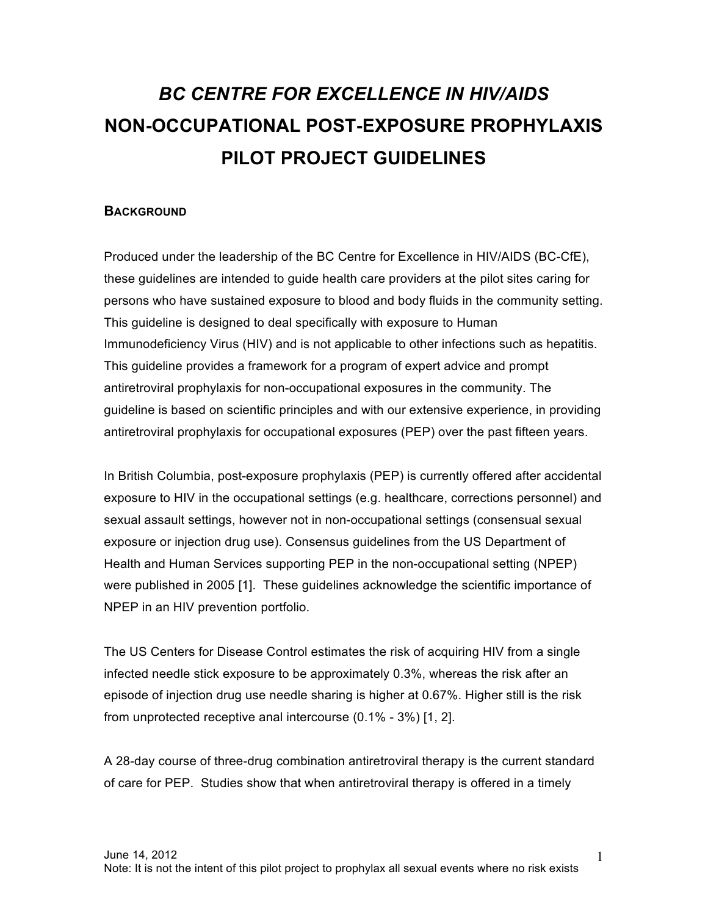# *BC CENTRE FOR EXCELLENCE IN HIV/AIDS*  **NON-OCCUPATIONAL POST-EXPOSURE PROPHYLAXIS PILOT PROJECT GUIDELINES**

#### **BACKGROUND**

Produced under the leadership of the BC Centre for Excellence in HIV/AIDS (BC-CfE), these guidelines are intended to guide health care providers at the pilot sites caring for persons who have sustained exposure to blood and body fluids in the community setting. This guideline is designed to deal specifically with exposure to Human Immunodeficiency Virus (HIV) and is not applicable to other infections such as hepatitis. This guideline provides a framework for a program of expert advice and prompt antiretroviral prophylaxis for non-occupational exposures in the community. The guideline is based on scientific principles and with our extensive experience, in providing antiretroviral prophylaxis for occupational exposures (PEP) over the past fifteen years.

In British Columbia, post-exposure prophylaxis (PEP) is currently offered after accidental exposure to HIV in the occupational settings (e.g. healthcare, corrections personnel) and sexual assault settings, however not in non-occupational settings (consensual sexual exposure or injection drug use). Consensus guidelines from the US Department of Health and Human Services supporting PEP in the non-occupational setting (NPEP) were published in 2005 [1]. These guidelines acknowledge the scientific importance of NPEP in an HIV prevention portfolio.

The US Centers for Disease Control estimates the risk of acquiring HIV from a single infected needle stick exposure to be approximately 0.3%, whereas the risk after an episode of injection drug use needle sharing is higher at 0.67%. Higher still is the risk from unprotected receptive anal intercourse (0.1% - 3%) [1, 2].

A 28-day course of three-drug combination antiretroviral therapy is the current standard of care for PEP. Studies show that when antiretroviral therapy is offered in a timely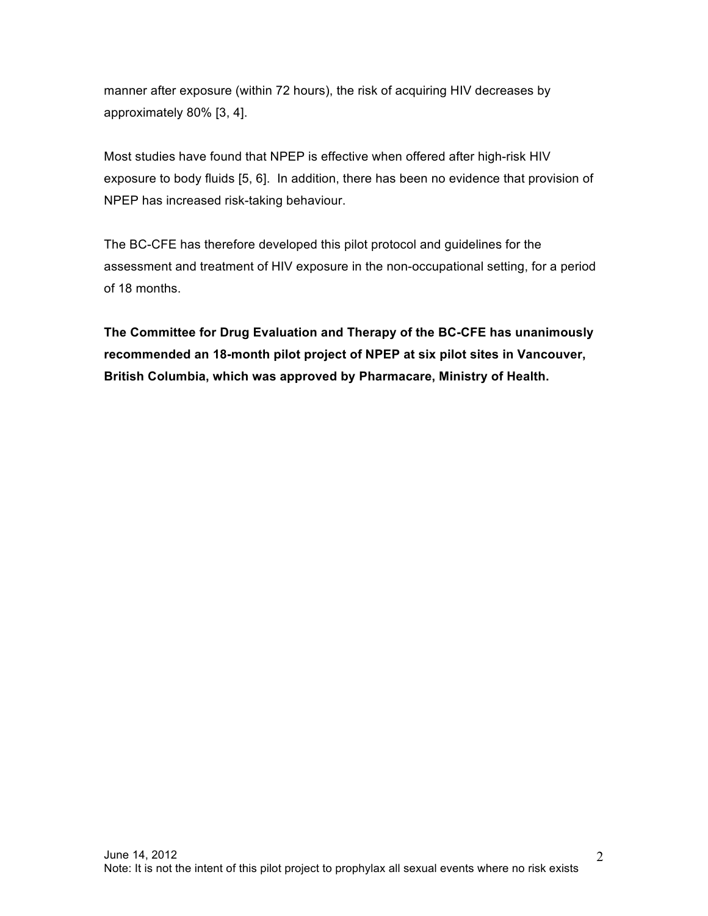manner after exposure (within 72 hours), the risk of acquiring HIV decreases by approximately 80% [3, 4].

Most studies have found that NPEP is effective when offered after high-risk HIV exposure to body fluids [5, 6]. In addition, there has been no evidence that provision of NPEP has increased risk-taking behaviour.

The BC-CFE has therefore developed this pilot protocol and guidelines for the assessment and treatment of HIV exposure in the non-occupational setting, for a period of 18 months.

**The Committee for Drug Evaluation and Therapy of the BC-CFE has unanimously recommended an 18-month pilot project of NPEP at six pilot sites in Vancouver, British Columbia, which was approved by Pharmacare, Ministry of Health.**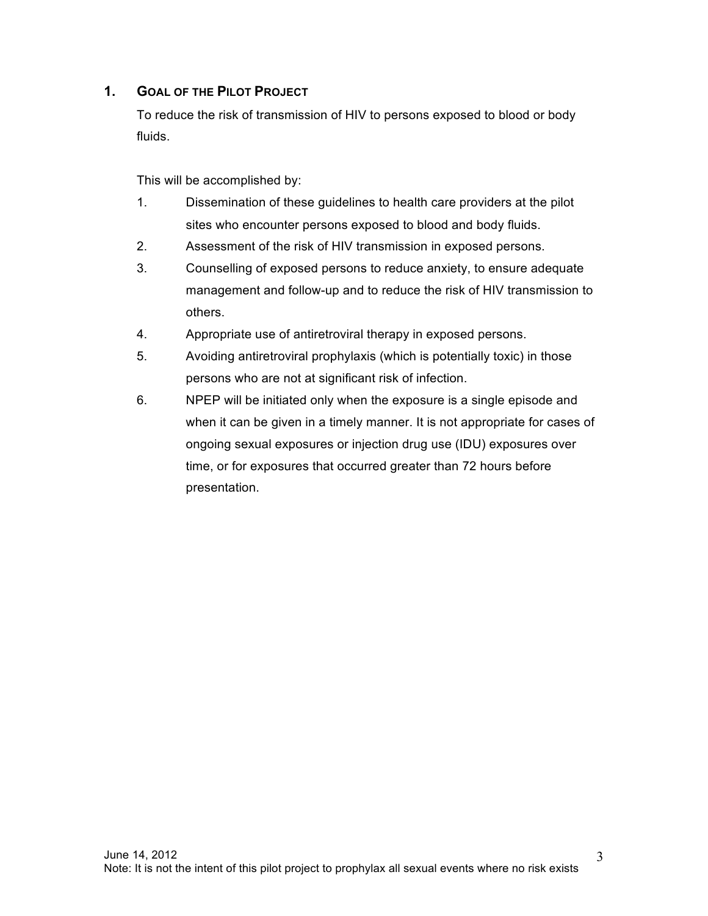# **1. GOAL OF THE PILOT PROJECT**

To reduce the risk of transmission of HIV to persons exposed to blood or body fluids.

This will be accomplished by:

- 1. Dissemination of these guidelines to health care providers at the pilot sites who encounter persons exposed to blood and body fluids.
- 2. Assessment of the risk of HIV transmission in exposed persons.
- 3. Counselling of exposed persons to reduce anxiety, to ensure adequate management and follow-up and to reduce the risk of HIV transmission to others.
- 4. Appropriate use of antiretroviral therapy in exposed persons.
- 5. Avoiding antiretroviral prophylaxis (which is potentially toxic) in those persons who are not at significant risk of infection.
- 6. NPEP will be initiated only when the exposure is a single episode and when it can be given in a timely manner. It is not appropriate for cases of ongoing sexual exposures or injection drug use (IDU) exposures over time, or for exposures that occurred greater than 72 hours before presentation.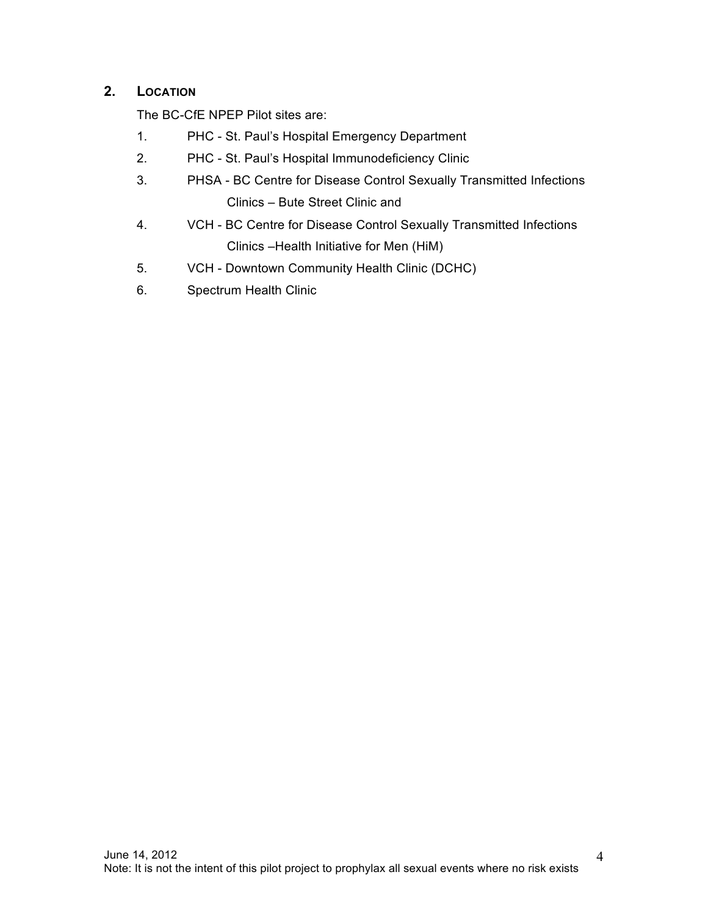# **2. LOCATION**

The BC-CfE NPEP Pilot sites are:

- 1. PHC St. Paul's Hospital Emergency Department
- 2. PHC St. Paul's Hospital Immunodeficiency Clinic
- 3. PHSA BC Centre for Disease Control Sexually Transmitted Infections Clinics – Bute Street Clinic and
- 4. VCH BC Centre for Disease Control Sexually Transmitted Infections Clinics –Health Initiative for Men (HiM)
- 5. VCH Downtown Community Health Clinic (DCHC)
- 6. Spectrum Health Clinic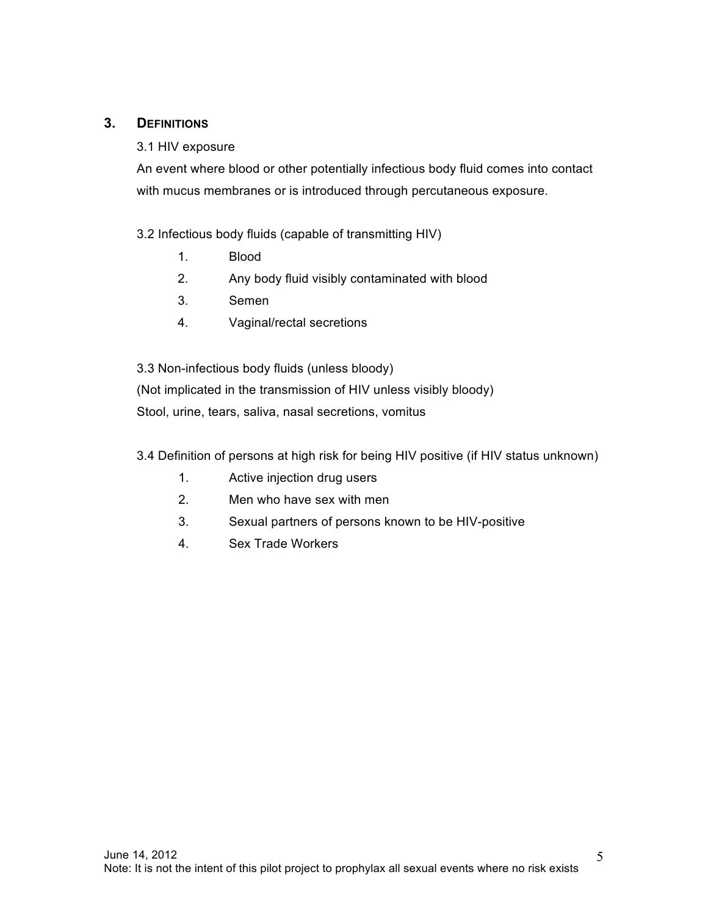## **3. DEFINITIONS**

#### 3.1 HIV exposure

An event where blood or other potentially infectious body fluid comes into contact with mucus membranes or is introduced through percutaneous exposure.

3.2 Infectious body fluids (capable of transmitting HIV)

- 1. Blood
- 2. Any body fluid visibly contaminated with blood
- 3. Semen
- 4. Vaginal/rectal secretions

3.3 Non-infectious body fluids (unless bloody)

(Not implicated in the transmission of HIV unless visibly bloody) Stool, urine, tears, saliva, nasal secretions, vomitus

3.4 Definition of persons at high risk for being HIV positive (if HIV status unknown)

- 1. Active injection drug users
- 2. Men who have sex with men
- 3. Sexual partners of persons known to be HIV-positive
- 4. Sex Trade Workers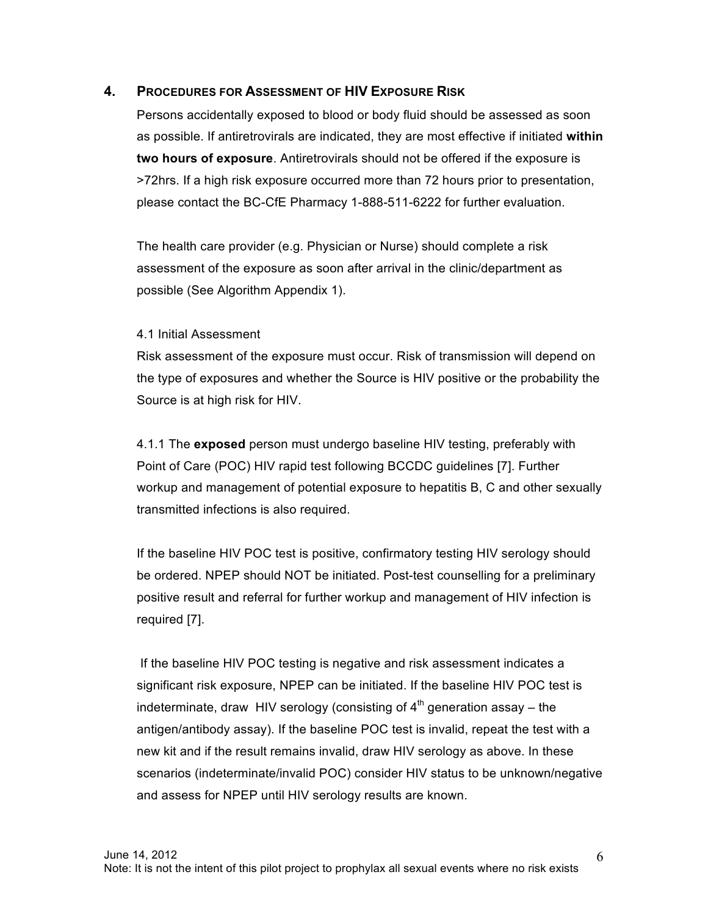#### **4. PROCEDURES FOR ASSESSMENT OF HIV EXPOSURE RISK**

Persons accidentally exposed to blood or body fluid should be assessed as soon as possible. If antiretrovirals are indicated, they are most effective if initiated **within two hours of exposure**. Antiretrovirals should not be offered if the exposure is >72hrs. If a high risk exposure occurred more than 72 hours prior to presentation, please contact the BC-CfE Pharmacy 1-888-511-6222 for further evaluation.

The health care provider (e.g. Physician or Nurse) should complete a risk assessment of the exposure as soon after arrival in the clinic/department as possible (See Algorithm Appendix 1).

#### 4.1 Initial Assessment

Risk assessment of the exposure must occur. Risk of transmission will depend on the type of exposures and whether the Source is HIV positive or the probability the Source is at high risk for HIV.

4.1.1 The **exposed** person must undergo baseline HIV testing, preferably with Point of Care (POC) HIV rapid test following BCCDC guidelines [7]. Further workup and management of potential exposure to hepatitis B, C and other sexually transmitted infections is also required.

If the baseline HIV POC test is positive, confirmatory testing HIV serology should be ordered. NPEP should NOT be initiated. Post-test counselling for a preliminary positive result and referral for further workup and management of HIV infection is required [7].

If the baseline HIV POC testing is negative and risk assessment indicates a significant risk exposure, NPEP can be initiated. If the baseline HIV POC test is indeterminate, draw HIV serology (consisting of  $4<sup>th</sup>$  generation assay – the antigen/antibody assay). If the baseline POC test is invalid, repeat the test with a new kit and if the result remains invalid, draw HIV serology as above. In these scenarios (indeterminate/invalid POC) consider HIV status to be unknown/negative and assess for NPEP until HIV serology results are known.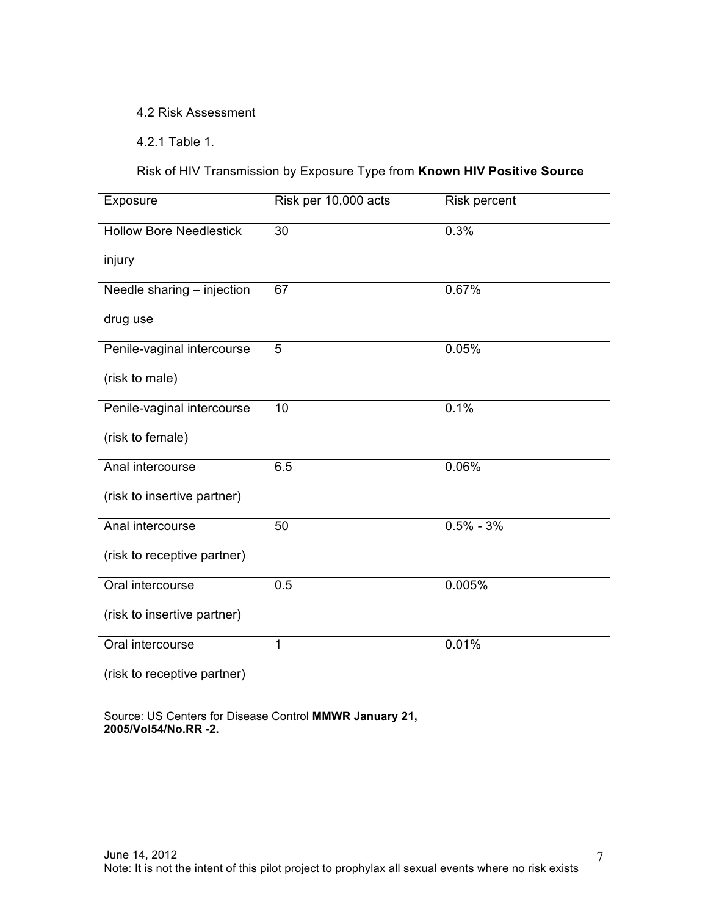#### 4.2 Risk Assessment

4.2.1 Table 1.

Risk of HIV Transmission by Exposure Type from **Known HIV Positive Source**

| Exposure                       | Risk per 10,000 acts | <b>Risk percent</b> |
|--------------------------------|----------------------|---------------------|
| <b>Hollow Bore Needlestick</b> | 30                   | 0.3%                |
| injury                         |                      |                     |
| Needle sharing - injection     | 67                   | 0.67%               |
| drug use                       |                      |                     |
| Penile-vaginal intercourse     | 5                    | 0.05%               |
| (risk to male)                 |                      |                     |
| Penile-vaginal intercourse     | 10                   | 0.1%                |
| (risk to female)               |                      |                     |
| Anal intercourse               | 6.5                  | 0.06%               |
| (risk to insertive partner)    |                      |                     |
| Anal intercourse               | 50                   | $0.5\% - 3\%$       |
| (risk to receptive partner)    |                      |                     |
| Oral intercourse               | 0.5                  | 0.005%              |
| (risk to insertive partner)    |                      |                     |
| Oral intercourse               | $\mathbf{1}$         | 0.01%               |
| (risk to receptive partner)    |                      |                     |

Source: US Centers for Disease Control **MMWR January 21, 2005/Vol54/No.RR -2.**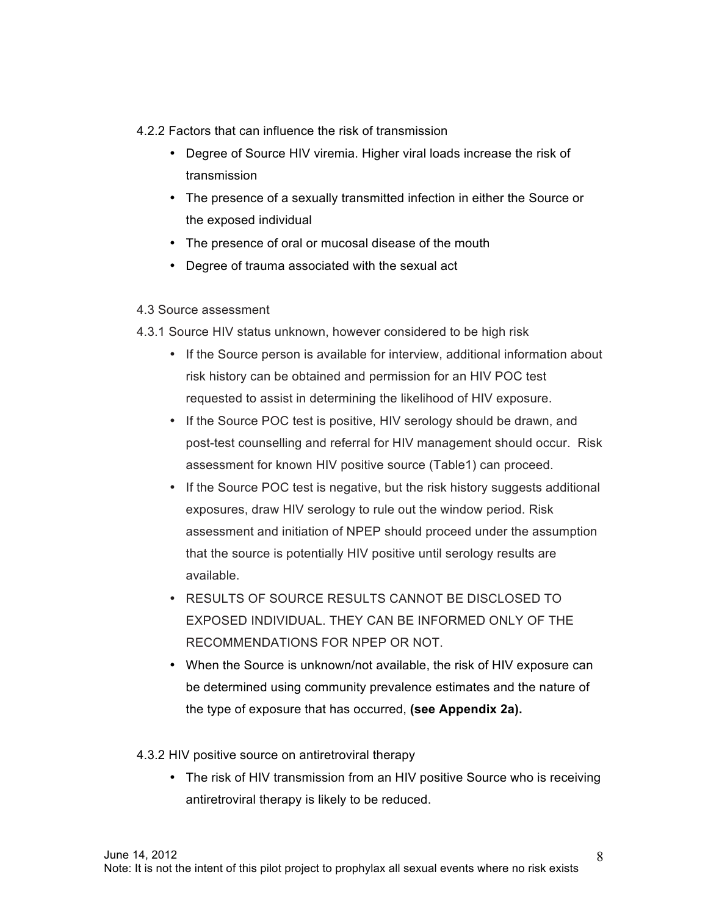4.2.2 Factors that can influence the risk of transmission

- Degree of Source HIV viremia. Higher viral loads increase the risk of transmission
- The presence of a sexually transmitted infection in either the Source or the exposed individual
- The presence of oral or mucosal disease of the mouth
- Degree of trauma associated with the sexual act

#### 4.3 Source assessment

- 4.3.1 Source HIV status unknown, however considered to be high risk
	- If the Source person is available for interview, additional information about risk history can be obtained and permission for an HIV POC test requested to assist in determining the likelihood of HIV exposure.
	- If the Source POC test is positive, HIV serology should be drawn, and post-test counselling and referral for HIV management should occur. Risk assessment for known HIV positive source (Table1) can proceed.
	- If the Source POC test is negative, but the risk history suggests additional exposures, draw HIV serology to rule out the window period. Risk assessment and initiation of NPEP should proceed under the assumption that the source is potentially HIV positive until serology results are available.
	- RESULTS OF SOURCE RESULTS CANNOT BE DISCLOSED TO EXPOSED INDIVIDUAL. THEY CAN BE INFORMED ONLY OF THE RECOMMENDATIONS FOR NPEP OR NOT.
	- When the Source is unknown/not available, the risk of HIV exposure can be determined using community prevalence estimates and the nature of the type of exposure that has occurred, **(see Appendix 2a).**

4.3.2 HIV positive source on antiretroviral therapy

• The risk of HIV transmission from an HIV positive Source who is receiving antiretroviral therapy is likely to be reduced.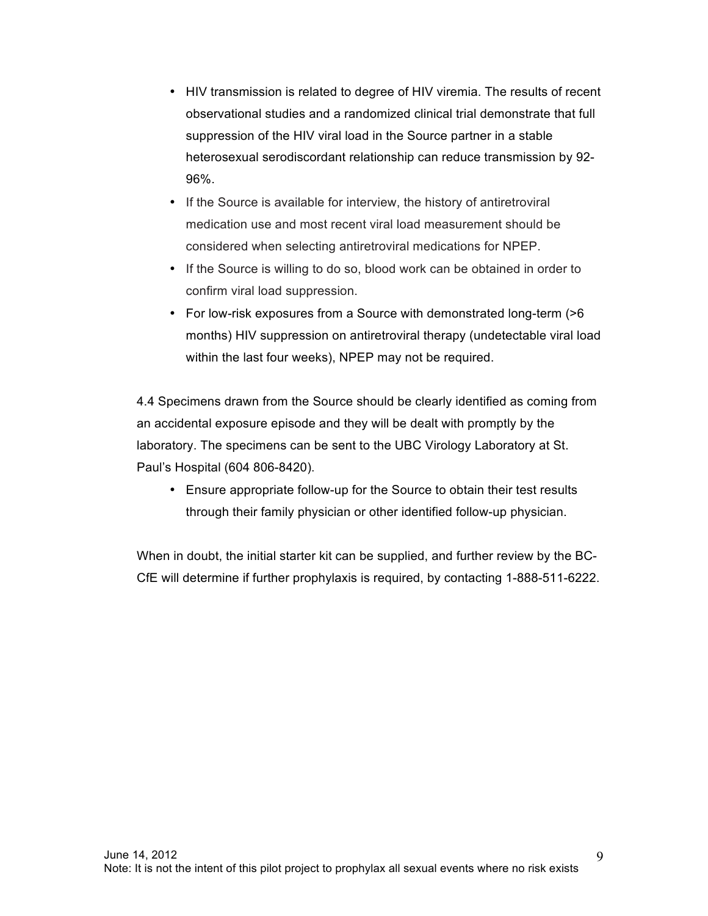- HIV transmission is related to degree of HIV viremia. The results of recent observational studies and a randomized clinical trial demonstrate that full suppression of the HIV viral load in the Source partner in a stable heterosexual serodiscordant relationship can reduce transmission by 92- 96%.
- If the Source is available for interview, the history of antiretroviral medication use and most recent viral load measurement should be considered when selecting antiretroviral medications for NPEP.
- If the Source is willing to do so, blood work can be obtained in order to confirm viral load suppression.
- For low-risk exposures from a Source with demonstrated long-term (>6 months) HIV suppression on antiretroviral therapy (undetectable viral load within the last four weeks), NPEP may not be required.

4.4 Specimens drawn from the Source should be clearly identified as coming from an accidental exposure episode and they will be dealt with promptly by the laboratory. The specimens can be sent to the UBC Virology Laboratory at St. Paul's Hospital (604 806-8420).

• Ensure appropriate follow-up for the Source to obtain their test results through their family physician or other identified follow-up physician.

When in doubt, the initial starter kit can be supplied, and further review by the BC-CfE will determine if further prophylaxis is required, by contacting 1-888-511-6222.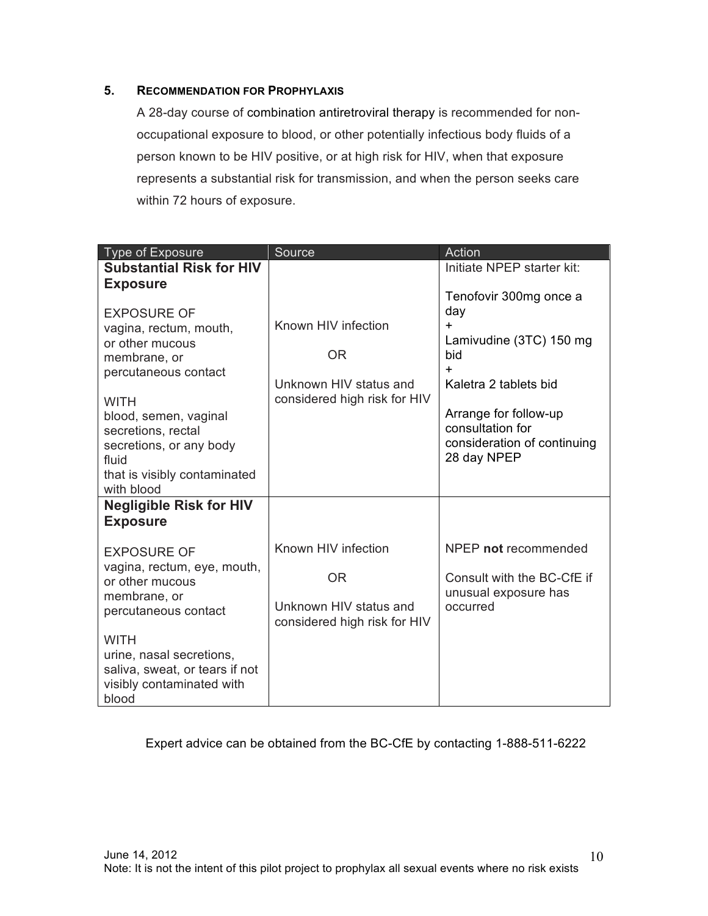#### **5. RECOMMENDATION FOR PROPHYLAXIS**

A 28-day course of combination antiretroviral therapy is recommended for nonoccupational exposure to blood, or other potentially infectious body fluids of a person known to be HIV positive, or at high risk for HIV, when that exposure represents a substantial risk for transmission, and when the person seeks care within 72 hours of exposure.

| Type of Exposure                                                                                                                                                     | Source                                                                                     | Action                                                                                                                  |  |  |
|----------------------------------------------------------------------------------------------------------------------------------------------------------------------|--------------------------------------------------------------------------------------------|-------------------------------------------------------------------------------------------------------------------------|--|--|
| <b>Substantial Risk for HIV</b><br><b>Exposure</b><br><b>EXPOSURE OF</b><br>vagina, rectum, mouth,<br>or other mucous<br>membrane, or                                | Known HIV infection<br><b>OR</b>                                                           | Initiate NPEP starter kit:<br>Tenofovir 300mg once a<br>day<br>$+$<br>Lamivudine (3TC) 150 mg<br>bid                    |  |  |
| percutaneous contact<br><b>WITH</b><br>blood, semen, vaginal<br>secretions, rectal<br>secretions, or any body<br>fluid<br>that is visibly contaminated<br>with blood | Unknown HIV status and<br>considered high risk for HIV                                     | $+$<br>Kaletra 2 tablets bid<br>Arrange for follow-up<br>consultation for<br>consideration of continuing<br>28 day NPEP |  |  |
| <b>Negligible Risk for HIV</b><br><b>Exposure</b>                                                                                                                    |                                                                                            |                                                                                                                         |  |  |
| <b>EXPOSURE OF</b><br>vagina, rectum, eye, mouth,<br>or other mucous<br>membrane, or<br>percutaneous contact                                                         | Known HIV infection<br><b>OR</b><br>Unknown HIV status and<br>considered high risk for HIV | NPEP not recommended<br>Consult with the BC-CfE if<br>unusual exposure has<br>occurred                                  |  |  |
| <b>WITH</b><br>urine, nasal secretions,<br>saliva, sweat, or tears if not<br>visibly contaminated with<br>blood                                                      |                                                                                            |                                                                                                                         |  |  |

## Expert advice can be obtained from the BC-CfE by contacting 1-888-511-6222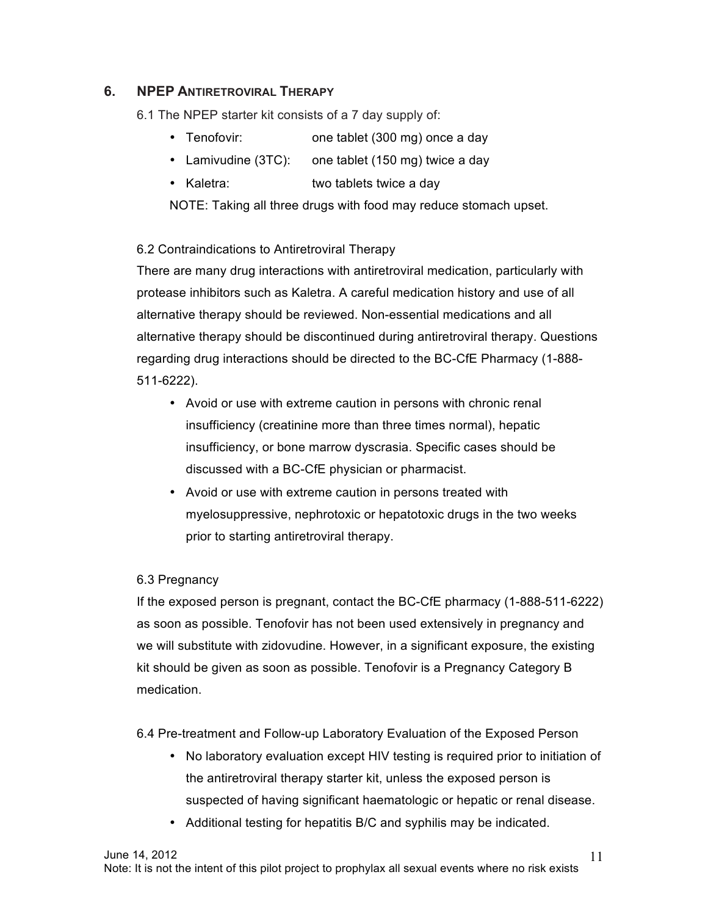# **6. NPEP ANTIRETROVIRAL THERAPY**

6.1 The NPEP starter kit consists of a 7 day supply of:

- Tenofovir: one tablet (300 mg) once a day
- Lamivudine (3TC): one tablet (150 mg) twice a day
- Kaletra: two tablets twice a day

NOTE: Taking all three drugs with food may reduce stomach upset.

## 6.2 Contraindications to Antiretroviral Therapy

There are many drug interactions with antiretroviral medication, particularly with protease inhibitors such as Kaletra. A careful medication history and use of all alternative therapy should be reviewed. Non-essential medications and all alternative therapy should be discontinued during antiretroviral therapy. Questions regarding drug interactions should be directed to the BC-CfE Pharmacy (1-888- 511-6222).

- Avoid or use with extreme caution in persons with chronic renal insufficiency (creatinine more than three times normal), hepatic insufficiency, or bone marrow dyscrasia. Specific cases should be discussed with a BC-CfE physician or pharmacist.
- Avoid or use with extreme caution in persons treated with myelosuppressive, nephrotoxic or hepatotoxic drugs in the two weeks prior to starting antiretroviral therapy.

## 6.3 Pregnancy

If the exposed person is pregnant, contact the BC-CfE pharmacy (1-888-511-6222) as soon as possible. Tenofovir has not been used extensively in pregnancy and we will substitute with zidovudine. However, in a significant exposure, the existing kit should be given as soon as possible. Tenofovir is a Pregnancy Category B medication.

6.4 Pre-treatment and Follow-up Laboratory Evaluation of the Exposed Person

- No laboratory evaluation except HIV testing is required prior to initiation of the antiretroviral therapy starter kit, unless the exposed person is suspected of having significant haematologic or hepatic or renal disease.
- Additional testing for hepatitis B/C and syphilis may be indicated.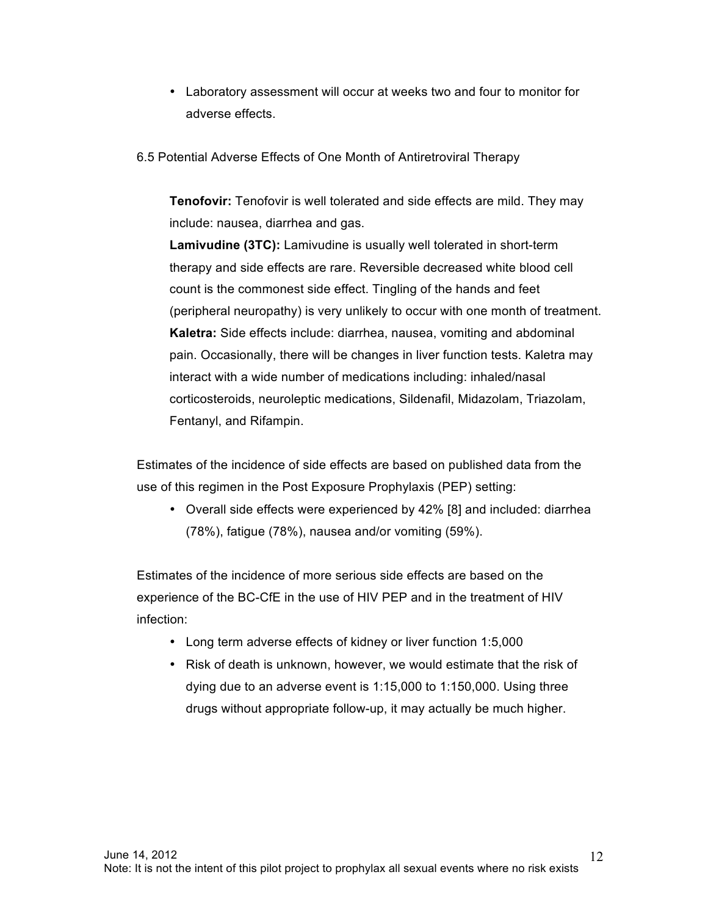- Laboratory assessment will occur at weeks two and four to monitor for adverse effects.
- 6.5 Potential Adverse Effects of One Month of Antiretroviral Therapy

**Tenofovir:** Tenofovir is well tolerated and side effects are mild. They may include: nausea, diarrhea and gas.

**Lamivudine (3TC):** Lamivudine is usually well tolerated in short-term therapy and side effects are rare. Reversible decreased white blood cell count is the commonest side effect. Tingling of the hands and feet (peripheral neuropathy) is very unlikely to occur with one month of treatment. **Kaletra:** Side effects include: diarrhea, nausea, vomiting and abdominal pain. Occasionally, there will be changes in liver function tests. Kaletra may interact with a wide number of medications including: inhaled/nasal corticosteroids, neuroleptic medications, Sildenafil, Midazolam, Triazolam, Fentanyl, and Rifampin.

Estimates of the incidence of side effects are based on published data from the use of this regimen in the Post Exposure Prophylaxis (PEP) setting:

• Overall side effects were experienced by 42% [8] and included: diarrhea (78%), fatigue (78%), nausea and/or vomiting (59%).

Estimates of the incidence of more serious side effects are based on the experience of the BC-CfE in the use of HIV PEP and in the treatment of HIV infection:

- Long term adverse effects of kidney or liver function 1:5,000
- Risk of death is unknown, however, we would estimate that the risk of dying due to an adverse event is 1:15,000 to 1:150,000. Using three drugs without appropriate follow-up, it may actually be much higher.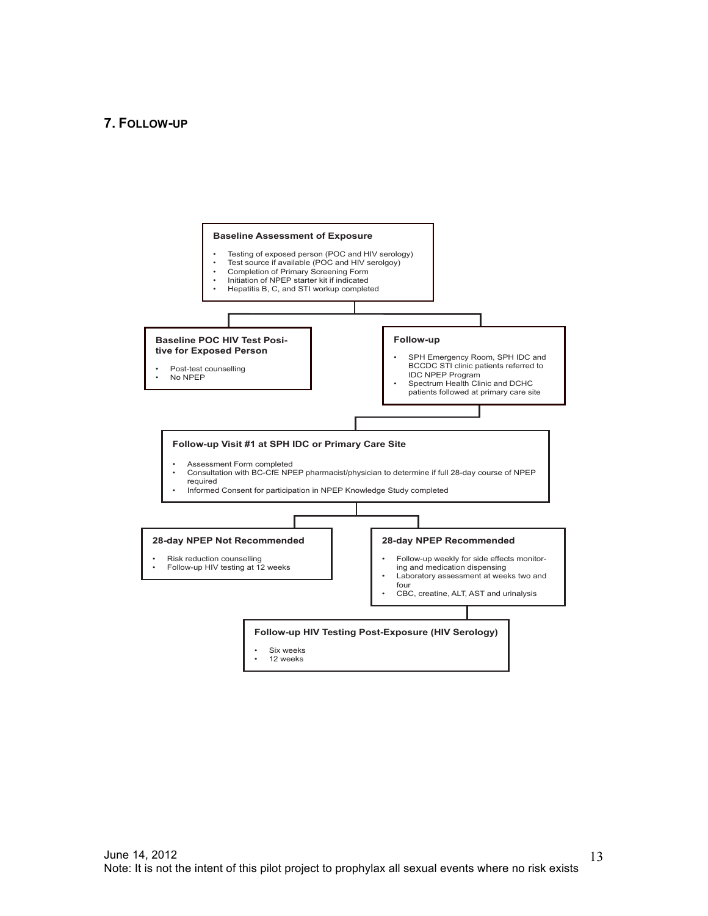#### **7. FOLLOW-UP**



13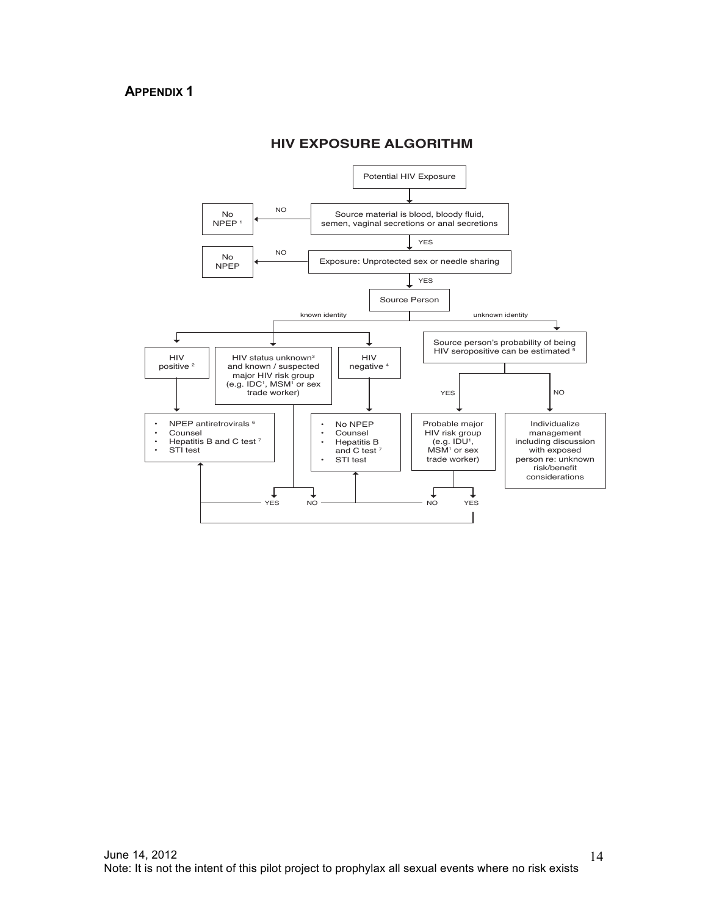

#### **HIV EXPOSURE ALGORITHM**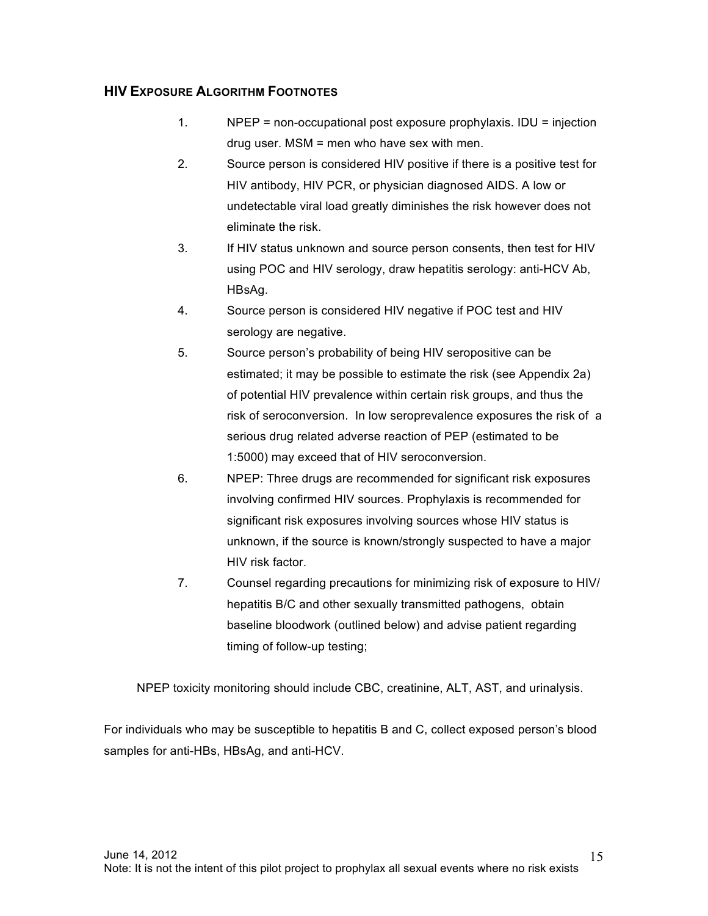## **HIV EXPOSURE ALGORITHM FOOTNOTES**

- 1. NPEP = non-occupational post exposure prophylaxis. IDU = injection drug user. MSM = men who have sex with men.
- 2. Source person is considered HIV positive if there is a positive test for HIV antibody, HIV PCR, or physician diagnosed AIDS. A low or undetectable viral load greatly diminishes the risk however does not eliminate the risk.
- 3. If HIV status unknown and source person consents, then test for HIV using POC and HIV serology, draw hepatitis serology: anti-HCV Ab, HBsAg.
- 4. Source person is considered HIV negative if POC test and HIV serology are negative.
- 5. Source person's probability of being HIV seropositive can be estimated; it may be possible to estimate the risk (see Appendix 2a) of potential HIV prevalence within certain risk groups, and thus the risk of seroconversion. In low seroprevalence exposures the risk of a serious drug related adverse reaction of PEP (estimated to be 1:5000) may exceed that of HIV seroconversion.
- 6. NPEP: Three drugs are recommended for significant risk exposures involving confirmed HIV sources. Prophylaxis is recommended for significant risk exposures involving sources whose HIV status is unknown, if the source is known/strongly suspected to have a major HIV risk factor.
- 7. Counsel regarding precautions for minimizing risk of exposure to HIV/ hepatitis B/C and other sexually transmitted pathogens, obtain baseline bloodwork (outlined below) and advise patient regarding timing of follow-up testing;

NPEP toxicity monitoring should include CBC, creatinine, ALT, AST, and urinalysis.

For individuals who may be susceptible to hepatitis B and C, collect exposed person's blood samples for anti-HBs, HBsAg, and anti-HCV.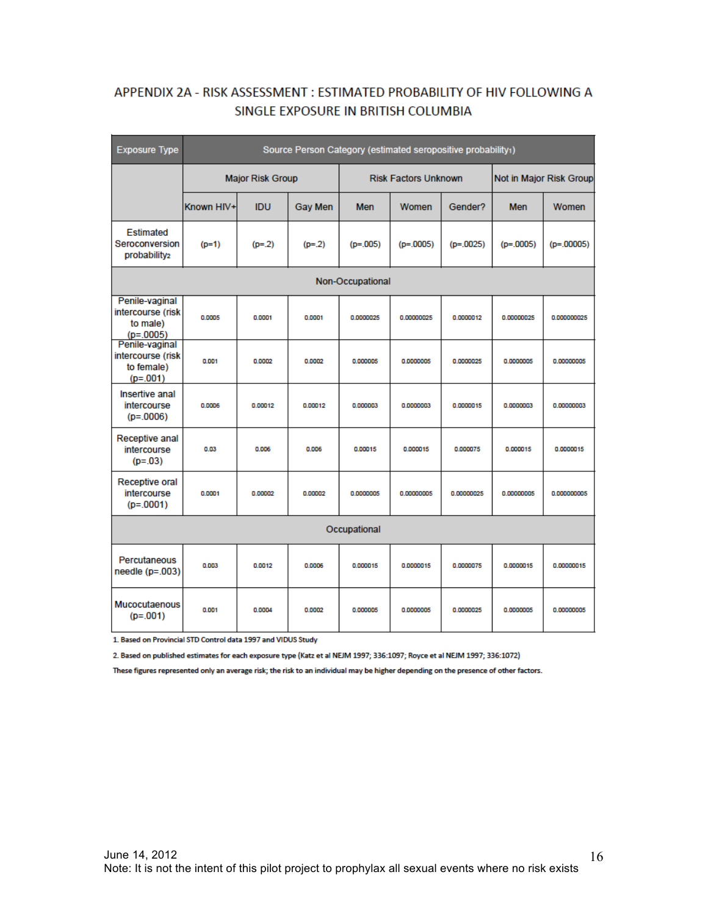# APPENDIX 2A - RISK ASSESSMENT : ESTIMATED PROBABILITY OF HIV FOLLOWING A SINGLE EXPOSURE IN BRITISH COLUMBIA

| <b>Exposure Type</b>                                            | Source Person Category (estimated seropositive probability1) |            |                             |            |             |                         |             |              |  |  |
|-----------------------------------------------------------------|--------------------------------------------------------------|------------|-----------------------------|------------|-------------|-------------------------|-------------|--------------|--|--|
|                                                                 | <b>Major Risk Group</b>                                      |            | <b>Risk Factors Unknown</b> |            |             | Not in Major Risk Group |             |              |  |  |
|                                                                 | Known HIV+                                                   | <b>IDU</b> | <b>Gay Men</b>              | <b>Men</b> | Women       | Gender?                 | <b>Men</b>  | Women        |  |  |
| <b>Estimated</b><br>Seroconversion<br>probability <sub>2</sub>  | $(p=1)$                                                      | $(p=.2)$   | $(p=.2)$                    | $(p=.005)$ | $(p=.0005)$ | $(p=.0025)$             | $(p=.0005)$ | $(p=.00005)$ |  |  |
| Non-Occupational                                                |                                                              |            |                             |            |             |                         |             |              |  |  |
| Penile-vaginal<br>intercourse (risk<br>to male)<br>$(p=.0005)$  | 0.0005                                                       | 0.0001     | 0.0001                      | 0.0000025  | 0.00000025  | 0.0000012               | 0.00000025  | 0.000000025  |  |  |
| Penile-vaginal<br>intercourse (risk<br>to female)<br>$(p=.001)$ | 0.001                                                        | 0.0002     | 0.0002                      | 0.000005   | 0.0000005   | 0.0000025               | 0.0000005   | 0.00000005   |  |  |
| Insertive anal<br>intercourse<br>$(p=.0006)$                    | 0.0006                                                       | 0.00012    | 0.00012                     | 0.000003   | 0.0000003   | 0.0000015               | 0.0000003   | 0.00000003   |  |  |
| <b>Receptive anal</b><br>intercourse<br>$(p=.03)$               | 0.03                                                         | 0.006      | 0.006                       | 0.00015    | 0.000015    | 0.000075                | 0.000015    | 0.0000015    |  |  |
| Receptive oral<br>intercourse<br>$(p=.0001)$                    | 0.0001                                                       | 0.00002    | 0.00002                     | 0.0000005  | 0.00000005  | 0.00000025              | 0.00000005  | 0.000000005  |  |  |
| Occupational                                                    |                                                              |            |                             |            |             |                         |             |              |  |  |
| Percutaneous<br>needle $(p=.003)$                               | 0.003                                                        | 0.0012     | 0.0006                      | 0.000015   | 0.0000015   | 0.0000075               | 0.0000015   | 0.00000015   |  |  |
| <b>Mucocutaenous</b><br>$(p=.001)$                              | 0.001                                                        | 0.0004     | 0.0002                      | 0.000005   | 0.0000005   | 0.0000025               | 0.0000005   | 0.00000005   |  |  |

1. Based on Provincial STD Control data 1997 and VIDUS Study

2. Based on published estimates for each exposure type (Katz et al NEJM 1997; 336:1097; Royce et al NEJM 1997; 336:1072)

These figures represented only an average risk; the risk to an individual may be higher depending on the presence of other factors.